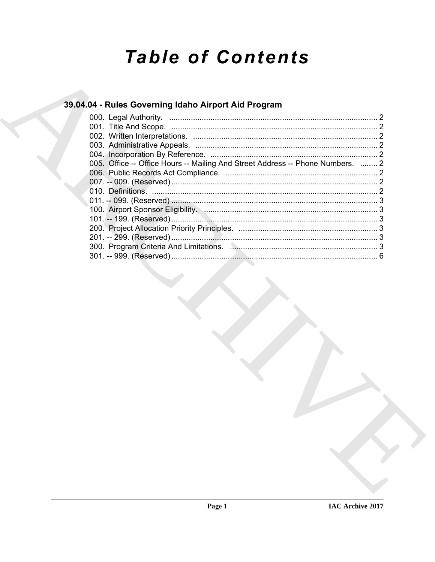# **Table of Contents**

## 39.04.04 - Rules Governing Idaho Airport Aid Program

| 005. Office -- Office Hours -- Mailing And Street Address -- Phone Numbers.  2                                                                                                                                                 |  |
|--------------------------------------------------------------------------------------------------------------------------------------------------------------------------------------------------------------------------------|--|
|                                                                                                                                                                                                                                |  |
|                                                                                                                                                                                                                                |  |
|                                                                                                                                                                                                                                |  |
|                                                                                                                                                                                                                                |  |
| 100. Airport Sponsor Eligibility. M. 2008. 2009. 2010. 2010. 2010. 2010. 2010. 2010. 2010. 2010. 2010. 2010. 2010. 2010. 2010. 2010. 2010. 2010. 2010. 2010. 2010. 2010. 2010. 2010. 2010. 2010. 2010. 2010. 2010. 2010. 2010. |  |
|                                                                                                                                                                                                                                |  |
|                                                                                                                                                                                                                                |  |
|                                                                                                                                                                                                                                |  |
|                                                                                                                                                                                                                                |  |
|                                                                                                                                                                                                                                |  |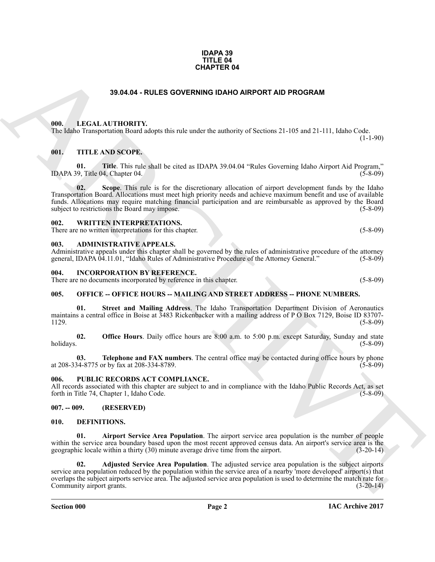#### **IDAPA 39 TITLE 04 CHAPTER 04**

### **39.04.04 - RULES GOVERNING IDAHO AIRPORT AID PROGRAM**

#### <span id="page-1-1"></span><span id="page-1-0"></span>**000. LEGAL AUTHORITY.**

The Idaho Transportation Board adopts this rule under the authority of Sections 21-105 and 21-111, Idaho Code.  $(1-1-90)$ 

#### <span id="page-1-2"></span>**001. TITLE AND SCOPE.**

**01. Title**. This rule shall be cited as IDAPA 39.04.04 "Rules Governing Idaho Airport Aid Program," IDAPA 39, Title 04, Chapter 04.

**02. Scope**. This rule is for the discretionary allocation of airport development funds by the Idaho Transportation Board. Allocations must meet high priority needs and achieve maximum benefit and use of available funds. Allocations may require matching financial participation and are reimbursable as approved by the Board subject to restrictions the Board may impose. (5-8-09)

#### <span id="page-1-3"></span>**002. WRITTEN INTERPRETATIONS.**

There are no written interpretations for this chapter. (5-8-09)

#### <span id="page-1-4"></span>**003. ADMINISTRATIVE APPEALS.**

Administrative appeals under this chapter shall be governed by the rules of administrative procedure of the attorney general, IDAPA 04.11.01, "Idaho Rules of Administrative Procedure of the Attorney General." (5-8-09)

#### <span id="page-1-5"></span>**004. INCORPORATION BY REFERENCE.**

There are no documents incorporated by reference in this chapter. (5-8-09)

#### <span id="page-1-6"></span>**005. OFFICE -- OFFICE HOURS -- MAILING AND STREET ADDRESS -- PHONE NUMBERS.**

**01. Street and Mailing Address**. The Idaho Transportation Department Division of Aeronautics maintains a central office in Boise at 3483 Rickenbacker with a mailing address of P O Box 7129, Boise ID 83707-  $1129.$  (5-8-09)

**02. Office Hours**. Daily office hours are 8:00 a.m. to 5:00 p.m. except Saturday, Sunday and state holidays. (5-8-09) holidays. (5-8-09)

**03. Telephone and FAX numbers**. The central office may be contacted during office hours by phone (5-8-09) at 208-334-8775 or by fax at 208-334-8789.

#### <span id="page-1-7"></span>**006. PUBLIC RECORDS ACT COMPLIANCE.**

All records associated with this chapter are subject to and in compliance with the Idaho Public Records Act, as set forth in Title 74, Chapter 1, Idaho Code. (5-8-09) forth in Title 74, Chapter 1, Idaho Code.

#### <span id="page-1-8"></span>**007. -- 009. (RESERVED)**

#### <span id="page-1-10"></span><span id="page-1-9"></span>**010. DEFINITIONS.**

<span id="page-1-12"></span><span id="page-1-11"></span>**01. Airport Service Area Population**. The airport service area population is the number of people within the service area boundary based upon the most recent approved census data. An airport's service area is the geographic locale within a thirty (30) minute average drive time from the airport. (3-20-14) geographic locale within a thirty  $(30)$  minute average drive time from the airport.

**33.64.04 - RULES GOVERNING IDAHO ARFORT AID PROGRAM**<br> **BULL LEGAL AUTIDENTY.**<br>
THE *KNISSCOPE:*<br> **CALL AUTIDENTY.**<br> **CALL AUTHORITY:**<br> **CALL AUTHORITY:**<br> **CALL AUTHORITY:**<br> **CALL THE** *KNISSCOPE***:**<br> **CALL THE** *KNISSCOPE***: 02. Adjusted Service Area Population**. The adjusted service area population is the subject airports service area population reduced by the population within the service area of a nearby 'more developed' airport(s) that overlaps the subject airports service area. The adjusted service area population is used to determine the match rate for Community airport grants. (3-20-14) Community airport grants.

**Section 000 Page 2**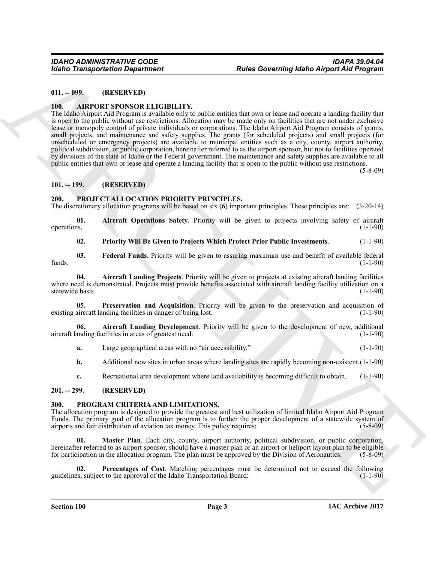#### <span id="page-2-0"></span>**011. -- 099. (RESERVED)**

#### <span id="page-2-6"></span><span id="page-2-1"></span>**100. AIRPORT SPONSOR ELIGIBILITY.**

For the Trust Scheme of the Correlation of the Correlation of the Correlation of the Correlation of the Correlation of the Correlation of the Correlation of the Correlation of the Correlation of the Correlation of the Cor The Idaho Airport Aid Program is available only to public entities that own or lease and operate a landing facility that is open to the public without use restrictions. Allocation may be made only on facilities that are not under exclusive lease or monopoly control of private individuals or corporations. The Idaho Airport Aid Program consists of grants, small projects, and maintenance and safety supplies. The grants (for scheduled projects) and small projects (for unscheduled or emergency projects) are available to municipal entities such as a city, county, airport authority, political subdivision, or public corporation, hereinafter referred to as the airport sponsor, but not to facilities operated by divisions of the state of Idaho or the Federal government. The maintenance and safety supplies are available to all public entities that own or lease and operate a landing facility that is open to the public without use restrictions.

(5-8-09)

#### <span id="page-2-2"></span>**101. -- 199. (RESERVED)**

#### <span id="page-2-10"></span><span id="page-2-3"></span>**200. PROJECT ALLOCATION PRIORITY PRINCIPLES.**

The discretionary allocation programs will be based on six (6) important principles. These principles are: (3-20-14)

**01.** Aircraft Operations Safety. Priority will be given to projects involving safety of aircraft operations. (1-1-90) operations. (1-1-90)

<span id="page-2-16"></span><span id="page-2-14"></span><span id="page-2-13"></span><span id="page-2-12"></span>**02. Priority Will Be Given to Projects Which Protect Prior Public Investments**. (1-1-90)

**03. Federal Funds**. Priority will be given to assuring maximum use and benefit of available federal (1-1-90) funds. (1-1-90)

**04. Aircraft Landing Projects**. Priority will be given to projects at existing aircraft landing facilities where need is demonstrated. Projects must provide benefits associated with aircraft landing facility utilization on a statewide basis. (1-1-90) statewide basis.

<span id="page-2-15"></span>**05. Preservation and Acquisition**. Priority will be given to the preservation and acquisition of aircraft landing facilities in danger of being lost. (1-1-90) existing aircraft landing facilities in danger of being lost.

**06. Aircraft Landing Development**. Priority will be given to the development of new, additional aircraft landing facilities in areas of greatest need:

- <span id="page-2-11"></span>**a.** Large geographical areas with no "air accessibility." (1-1-90)
- **b.** Additional new sites in urban areas where landing sites are rapidly becoming non-existent. (1-1-90)
- <span id="page-2-7"></span>**c.** Recreational area development where land availability is becoming difficult to obtain. (1-1-90)

#### <span id="page-2-4"></span>**201. -- 299. (RESERVED)**

#### <span id="page-2-5"></span>**300. PROGRAM CRITERIA AND LIMITATIONS.**

The allocation program is designed to provide the greatest and best utilization of limited Idaho Airport Aid Program Funds. The primary goal of the allocation program is to further the proper development of a statewide system of airports and fair distribution of aviation tax money. This policy requires: (5-8-09)

<span id="page-2-8"></span>**01. Master Plan**. Each city, county, airport authority, political subdivision, or public corporation, hereinafter referred to as airport sponsor, should have a master plan or an airport or heliport layout plan to be eligible for participation in the allocation program. The plan must be approved by the Division of Aeronauti for participation in the allocation program. The plan must be approved by the Division of Aeronautics.

<span id="page-2-9"></span>**02.** Percentages of Cost. Matching percentages must be determined not to exceed the following less, subject to the approval of the Idaho Transportation Board: (1-1-90) guidelines, subject to the approval of the Idaho Transportation Board: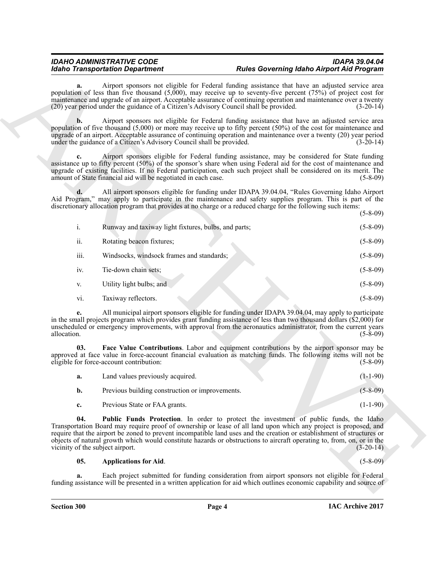### *IDAHO ADMINISTRATIVE CODE IDAPA 39.04.04 Idaho Transportation Department Rules Governing Idaho Airport Aid Program*

| <b>Idaho Transportation Department</b> |                                                                                                                                                                                                                                                                                                                                                                                                                                                                                                            | <b>Rules Governing Idaho Airport Aid Program</b> |                |
|----------------------------------------|------------------------------------------------------------------------------------------------------------------------------------------------------------------------------------------------------------------------------------------------------------------------------------------------------------------------------------------------------------------------------------------------------------------------------------------------------------------------------------------------------------|--------------------------------------------------|----------------|
| a.                                     | Airport sponsors not eligible for Federal funding assistance that have an adjusted service area<br>population of less than five thousand $(5,000)$ , may receive up to seventy-five percent $(75%)$ of project cost for<br>maintenance and upgrade of an airport. Acceptable assurance of continuing operation and maintenance over a twenty<br>(20) year period under the guidance of a Citizen's Advisory Council shall be provided.                                                                     |                                                  | $(3-20-14)$    |
| b.                                     | Airport sponsors not eligible for Federal funding assistance that have an adjusted service area<br>population of five thousand $(5,000)$ or more may receive up to fifty percent $(50\%)$ of the cost for maintenance and<br>upgrade of an airport. Acceptable assurance of continuing operation and maintenance over a twenty (20) year period<br>under the guidance of a Citizen's Advisory Council shall be provided.                                                                                   |                                                  | $(3-20-14)$    |
| c.                                     | Airport sponsors eligible for Federal funding assistance, may be considered for State funding<br>assistance up to fifty percent (50%) of the sponsor's share when using Federal aid for the cost of maintenance and<br>upgrade of existing facilities. If no Federal participation, each such project shall be considered on its merit. The<br>amount of State financial aid will be negotiated in each case.                                                                                              |                                                  | $(5-8-09)$     |
|                                        | All airport sponsors eligible for funding under IDAPA 39.04.04, "Rules Governing Idaho Airport<br>Aid Program," may apply to participate in the maintenance and safety supplies program. This is part of the<br>discretionary allocation program that provides at no charge or a reduced charge for the following such items:                                                                                                                                                                              |                                                  | $(5-8-09)$     |
| $\mathbf{i}$ .                         | Runway and taxiway light fixtures, bulbs, and parts;                                                                                                                                                                                                                                                                                                                                                                                                                                                       |                                                  | $(5-8-09)$     |
| ii.                                    | Rotating beacon fixtures;                                                                                                                                                                                                                                                                                                                                                                                                                                                                                  |                                                  | $(5-8-09)$     |
| iii.                                   | Windsocks, windsock frames and standards;                                                                                                                                                                                                                                                                                                                                                                                                                                                                  |                                                  | $(5-8-09)$     |
| iv.                                    | Tie-down chain sets;                                                                                                                                                                                                                                                                                                                                                                                                                                                                                       |                                                  | $(5-8-09)$     |
| V.                                     | Utility light bulbs; and                                                                                                                                                                                                                                                                                                                                                                                                                                                                                   |                                                  | $(5-8-09)$     |
| vi.                                    | Taxiway reflectors.                                                                                                                                                                                                                                                                                                                                                                                                                                                                                        |                                                  | $(5 - 8 - 09)$ |
| e.<br>allocation.                      | All municipal airport sponsors eligible for funding under IDAPA 39.04.04, may apply to participate<br>in the small projects program which provides grant funding assistance of less than two thousand dollars (\$2,000) for<br>unscheduled or emergency improvements, with approval from the aeronautics administrator, from the current years                                                                                                                                                             |                                                  | $(5-8-09)$     |
| 03.                                    | Face Value Contributions. Labor and equipment contributions by the airport sponsor may be<br>approved at face value in force-account financial evaluation as matching funds. The following items will not be<br>eligible for force-account contribution:                                                                                                                                                                                                                                                   |                                                  | $(5-8-09)$     |
| a.                                     | Land values previously acquired.                                                                                                                                                                                                                                                                                                                                                                                                                                                                           |                                                  | $(1-1-90)$     |
| b.                                     | Previous building construction or improvements.                                                                                                                                                                                                                                                                                                                                                                                                                                                            |                                                  | $(5 - 8 - 09)$ |
| c.                                     | Previous State or FAA grants.                                                                                                                                                                                                                                                                                                                                                                                                                                                                              |                                                  | $(1-1-90)$     |
| 04.                                    | <b>Public Funds Protection</b> . In order to protect the investment of public funds, the Idaho<br>Transportation Board may require proof of ownership or lease of all land upon which any project is proposed, and<br>require that the airport be zoned to prevent incompatible land uses and the creation or establishment of structures or<br>objects of natural growth which would constitute hazards or obstructions to aircraft operating to, from, on, or in the<br>vicinity of the subject airport. |                                                  | $(3-20-14)$    |
| 05.                                    | <b>Applications for Aid.</b>                                                                                                                                                                                                                                                                                                                                                                                                                                                                               |                                                  | $(5 - 8 - 09)$ |
| a.                                     | Each project submitted for funding consideration from airport sponsors not eligible for Federal<br>funding assistance will be presented in a written application for aid which outlines economic capability and source of                                                                                                                                                                                                                                                                                  |                                                  |                |
|                                        |                                                                                                                                                                                                                                                                                                                                                                                                                                                                                                            |                                                  |                |

<span id="page-3-2"></span><span id="page-3-1"></span><span id="page-3-0"></span>

| а.          | Land values previously acquired.                | $(1-1-90)$     |
|-------------|-------------------------------------------------|----------------|
| b.          | Previous building construction or improvements. | $(5 - 8 - 09)$ |
| $c_{\cdot}$ | Previous State or FAA grants.                   | $(1-1-90)$     |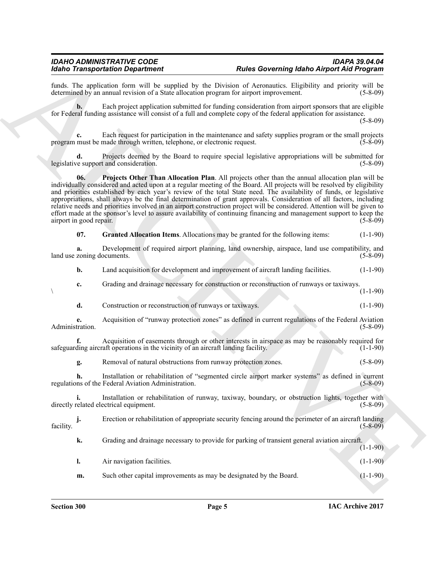funds. The application form will be supplied by the Division of Aeronautics. Eligibility and priority will be determined by an annual revision of a State allocation program for airport improvement. (5-8-09) determined by an annual revision of a State allocation program for airport improvement.

**b.** Each project application submitted for funding consideration from airport sponsors that are eligible for Federal funding assistance will consist of a full and complete copy of the federal application for assistance.

(5-8-09)

**c.** Each request for participation in the maintenance and safety supplies program or the small projects program must be made through written, telephone, or electronic request. (5-8-09)

<span id="page-4-1"></span>**d.** Projects deemed by the Board to require special legislative appropriations will be submitted for resupport and consideration. (5-8-09) legislative support and consideration.

**EVALUATE CONSIDERATION** of the United Society and **F Control Consider Consider Consider Application** (4)  $\frac{1}{2}$  (3)  $\frac{1}{2}$  (3)  $\frac{1}{2}$  (4)  $\frac{1}{2}$  (3)  $\frac{1}{2}$  (4)  $\frac{1}{2}$  (4)  $\frac{1}{2}$  (4)  $\frac{1}{2}$  (4 **06. Projects Other Than Allocation Plan**. All projects other than the annual allocation plan will be individually considered and acted upon at a regular meeting of the Board. All projects will be resolved by eligibility and priorities established by each year's review of the total State need. The availability of funds, or legislative appropriations, shall always be the final determination of grant approvals. Consideration of all factors, including relative needs and priorities involved in an airport construction project will be considered. Attention will be given to effort made at the sponsor's level to assure availability of continuing financing and management support to keep the airport in good repair. (5-8-09) airport in good repair.

<span id="page-4-0"></span>**07. Granted Allocation Items**. Allocations may be granted for the following items: (1-1-90)

**a.** Development of required airport planning, land ownership, airspace, land use compatibility, and land use zoning documents. (5-8-09)

**b.** Land acquisition for development and improvement of aircraft landing facilities. (1-1-90)

**c.** Grading and drainage necessary for construction or reconstruction of runways or taxiways. (1-1-90)

- $(1-1-90)$ 
	- **d.** Construction or reconstruction of runways or taxiways. (1-1-90)

**e.** Acquisition of "runway protection zones" as defined in current regulations of the Federal Aviation Administration.

Acquisition of easements through or other interests in airspace as may be reasonably required for aft operations in the vicinity of an aircraft landing facility. (1-1-90) safeguarding aircraft operations in the vicinity of an aircraft landing facility.

**g.** Removal of natural obstructions from runway protection zones. (5-8-09)

**h.** Installation or rehabilitation of "segmented circle airport marker systems" as defined in current regulations of the Federal Aviation Administration. (5-8-09)

**i.** Installation or rehabilitation of runway, taxiway, boundary, or obstruction lights, together with related electrical equipment. (5-8-09) directly related electrical equipment.

**j.** Erection or rehabilitation of appropriate security fencing around the perimeter of an aircraft landing (5-8-09) facility. (5-8-09)

**k.** Grading and drainage necessary to provide for parking of transient general aviation aircraft.  $(1-1-90)$ 

**l.** Air navigation facilities. (1-1-90) **m.** Such other capital improvements as may be designated by the Board. (1-1-90)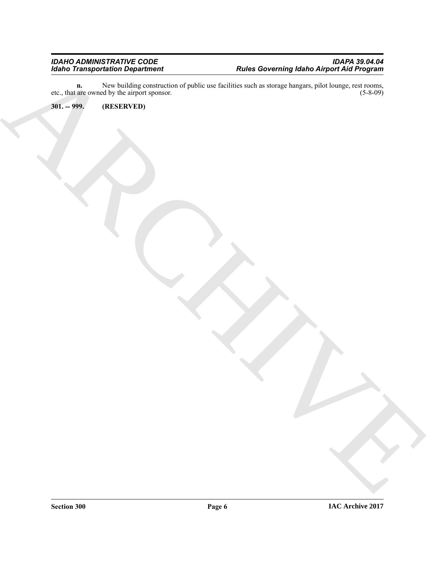Existential de la concerte de la concerte de la concerte de la concerte de la concerte de la concerte de la concerte de la concerte de la concerte de la concerte de la concerte de la concerte de la concerte de la concerte **n.** New building construction of public use facilities such as storage hangars, pilot lounge, rest rooms, are owned by the airport sponsor. (5-8-09) etc., that are owned by the airport sponsor.

<span id="page-5-0"></span>**301. -- 999. (RESERVED)**